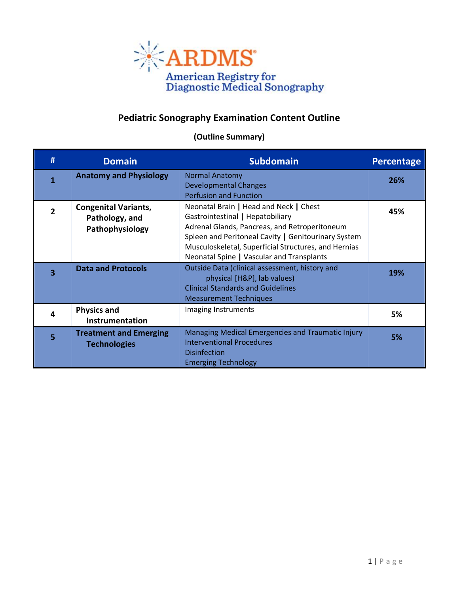

## **Pediatric Sonography Examination Content Outline**

## **(Outline Summary)**

| #                       | <b>Domain</b>                                                    | <b>Subdomain</b>                                                                                                                                                                                                                                                                        | <b>Percentage</b> |
|-------------------------|------------------------------------------------------------------|-----------------------------------------------------------------------------------------------------------------------------------------------------------------------------------------------------------------------------------------------------------------------------------------|-------------------|
|                         | <b>Anatomy and Physiology</b>                                    | <b>Normal Anatomy</b><br><b>Developmental Changes</b><br><b>Perfusion and Function</b>                                                                                                                                                                                                  | 26%               |
| $\mathfrak{p}$          | <b>Congenital Variants,</b><br>Pathology, and<br>Pathophysiology | Neonatal Brain   Head and Neck   Chest<br>Gastrointestinal   Hepatobiliary<br>Adrenal Glands, Pancreas, and Retroperitoneum<br>Spleen and Peritoneal Cavity   Genitourinary System<br>Musculoskeletal, Superficial Structures, and Hernias<br>Neonatal Spine   Vascular and Transplants | 45%               |
| $\overline{\mathbf{3}}$ | <b>Data and Protocols</b>                                        | Outside Data (clinical assessment, history and<br>physical [H&P], lab values)<br><b>Clinical Standards and Guidelines</b><br><b>Measurement Techniques</b>                                                                                                                              | 19%               |
| 4                       | <b>Physics and</b><br>Instrumentation                            | Imaging Instruments                                                                                                                                                                                                                                                                     | 5%                |
| 5                       | <b>Treatment and Emerging</b><br><b>Technologies</b>             | Managing Medical Emergencies and Traumatic Injury<br><b>Interventional Procedures</b><br><b>Disinfection</b><br><b>Emerging Technology</b>                                                                                                                                              | 5%                |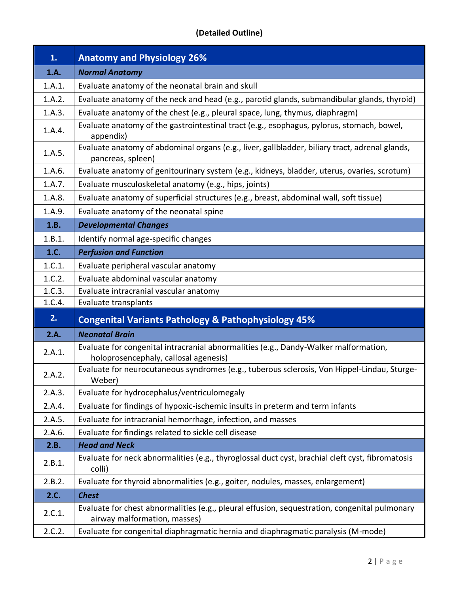## **(Detailed Outline)**

| 1.     | <b>Anatomy and Physiology 26%</b>                                                                                             |  |
|--------|-------------------------------------------------------------------------------------------------------------------------------|--|
| 1.A.   | <b>Normal Anatomy</b>                                                                                                         |  |
| 1.A.1. | Evaluate anatomy of the neonatal brain and skull                                                                              |  |
| 1.A.2. | Evaluate anatomy of the neck and head (e.g., parotid glands, submandibular glands, thyroid)                                   |  |
| 1.A.3. | Evaluate anatomy of the chest (e.g., pleural space, lung, thymus, diaphragm)                                                  |  |
| 1.A.4. | Evaluate anatomy of the gastrointestinal tract (e.g., esophagus, pylorus, stomach, bowel,<br>appendix)                        |  |
| 1.A.5. | Evaluate anatomy of abdominal organs (e.g., liver, gallbladder, biliary tract, adrenal glands,<br>pancreas, spleen)           |  |
| 1.A.6. | Evaluate anatomy of genitourinary system (e.g., kidneys, bladder, uterus, ovaries, scrotum)                                   |  |
| 1.A.7. | Evaluate musculoskeletal anatomy (e.g., hips, joints)                                                                         |  |
| 1.A.8. | Evaluate anatomy of superficial structures (e.g., breast, abdominal wall, soft tissue)                                        |  |
| 1.A.9. | Evaluate anatomy of the neonatal spine                                                                                        |  |
| 1.B.   | <b>Developmental Changes</b>                                                                                                  |  |
| 1.B.1. | Identify normal age-specific changes                                                                                          |  |
| 1.C.   | <b>Perfusion and Function</b>                                                                                                 |  |
| 1.C.1. | Evaluate peripheral vascular anatomy                                                                                          |  |
| 1.C.2. | Evaluate abdominal vascular anatomy                                                                                           |  |
| 1.C.3. | Evaluate intracranial vascular anatomy                                                                                        |  |
| 1.C.4. | Evaluate transplants                                                                                                          |  |
| 2.     | <b>Congenital Variants Pathology &amp; Pathophysiology 45%</b>                                                                |  |
| 2.A.   | <b>Neonatal Brain</b>                                                                                                         |  |
| 2.A.1. | Evaluate for congenital intracranial abnormalities (e.g., Dandy-Walker malformation,<br>holoprosencephaly, callosal agenesis) |  |
| 2.A.2. | Evaluate for neurocutaneous syndromes (e.g., tuberous sclerosis, Von Hippel-Lindau, Sturge-<br>Weber)                         |  |
| 2.A.3. | Evaluate for hydrocephalus/ventriculomegaly                                                                                   |  |
| 2.A.4. | Evaluate for findings of hypoxic-ischemic insults in preterm and term infants                                                 |  |
| 2.A.5. | Evaluate for intracranial hemorrhage, infection, and masses                                                                   |  |
| 2.A.6. | Evaluate for findings related to sickle cell disease                                                                          |  |
| 2.B.   | <b>Head and Neck</b>                                                                                                          |  |
| 2.B.1. | Evaluate for neck abnormalities (e.g., thyroglossal duct cyst, brachial cleft cyst, fibromatosis<br>colli)                    |  |
| 2.B.2. | Evaluate for thyroid abnormalities (e.g., goiter, nodules, masses, enlargement)                                               |  |
| 2.C.   | <b>Chest</b>                                                                                                                  |  |
| 2.C.1. | Evaluate for chest abnormalities (e.g., pleural effusion, sequestration, congenital pulmonary<br>airway malformation, masses) |  |
| 2.C.2. | Evaluate for congenital diaphragmatic hernia and diaphragmatic paralysis (M-mode)                                             |  |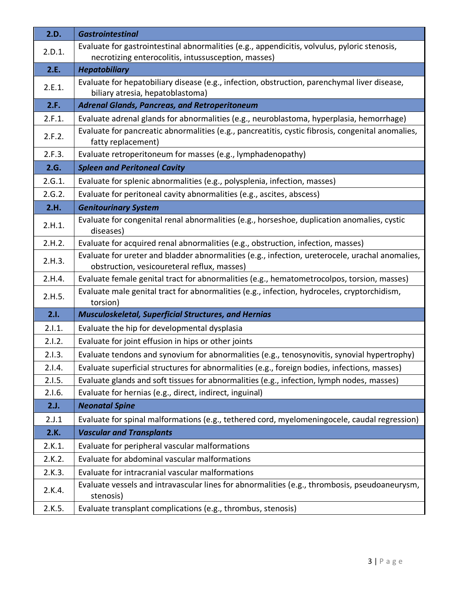| 2.D.   | <b>Gastrointestinal</b>                                                                                                                             |
|--------|-----------------------------------------------------------------------------------------------------------------------------------------------------|
| 2.D.1. | Evaluate for gastrointestinal abnormalities (e.g., appendicitis, volvulus, pyloric stenosis,<br>necrotizing enterocolitis, intussusception, masses) |
| 2.E.   | <b>Hepatobiliary</b>                                                                                                                                |
| 2.E.1. | Evaluate for hepatobiliary disease (e.g., infection, obstruction, parenchymal liver disease,<br>biliary atresia, hepatoblastoma)                    |
| 2.F.   | <b>Adrenal Glands, Pancreas, and Retroperitoneum</b>                                                                                                |
| 2.F.1. | Evaluate adrenal glands for abnormalities (e.g., neuroblastoma, hyperplasia, hemorrhage)                                                            |
| 2.F.2. | Evaluate for pancreatic abnormalities (e.g., pancreatitis, cystic fibrosis, congenital anomalies,<br>fatty replacement)                             |
| 2.F.3. | Evaluate retroperitoneum for masses (e.g., lymphadenopathy)                                                                                         |
| 2.G.   | <b>Spleen and Peritoneal Cavity</b>                                                                                                                 |
| 2.G.1. | Evaluate for splenic abnormalities (e.g., polysplenia, infection, masses)                                                                           |
| 2.G.2. | Evaluate for peritoneal cavity abnormalities (e.g., ascites, abscess)                                                                               |
| 2.H.   | <b>Genitourinary System</b>                                                                                                                         |
| 2.H.1. | Evaluate for congenital renal abnormalities (e.g., horseshoe, duplication anomalies, cystic<br>diseases)                                            |
| 2.H.2. | Evaluate for acquired renal abnormalities (e.g., obstruction, infection, masses)                                                                    |
| 2.H.3. | Evaluate for ureter and bladder abnormalities (e.g., infection, ureterocele, urachal anomalies,<br>obstruction, vesicoureteral reflux, masses)      |
| 2.H.4. | Evaluate female genital tract for abnormalities (e.g., hematometrocolpos, torsion, masses)                                                          |
| 2.H.5. | Evaluate male genital tract for abnormalities (e.g., infection, hydroceles, cryptorchidism,<br>torsion)                                             |
| 2.1.   | <b>Musculoskeletal, Superficial Structures, and Hernias</b>                                                                                         |
| 2.1.1. | Evaluate the hip for developmental dysplasia                                                                                                        |
| 2.1.2. | Evaluate for joint effusion in hips or other joints                                                                                                 |
| 2.1.3. | Evaluate tendons and synovium for abnormalities (e.g., tenosynovitis, synovial hypertrophy)                                                         |
| 2.1.4. | Evaluate superficial structures for abnormalities (e.g., foreign bodies, infections, masses)                                                        |
| 2.1.5. | Evaluate glands and soft tissues for abnormalities (e.g., infection, lymph nodes, masses)                                                           |
| 2.1.6. | Evaluate for hernias (e.g., direct, indirect, inguinal)                                                                                             |
| 2.J.   | <b>Neonatal Spine</b>                                                                                                                               |
| 2.J.1  | Evaluate for spinal malformations (e.g., tethered cord, myelomeningocele, caudal regression)                                                        |
| 2.K.   | <b>Vascular and Transplants</b>                                                                                                                     |
| 2.K.1. | Evaluate for peripheral vascular malformations                                                                                                      |
| 2.K.2. | Evaluate for abdominal vascular malformations                                                                                                       |
| 2.K.3. | Evaluate for intracranial vascular malformations                                                                                                    |
| 2.K.4. | Evaluate vessels and intravascular lines for abnormalities (e.g., thrombosis, pseudoaneurysm,<br>stenosis)                                          |
| 2.K.5. | Evaluate transplant complications (e.g., thrombus, stenosis)                                                                                        |